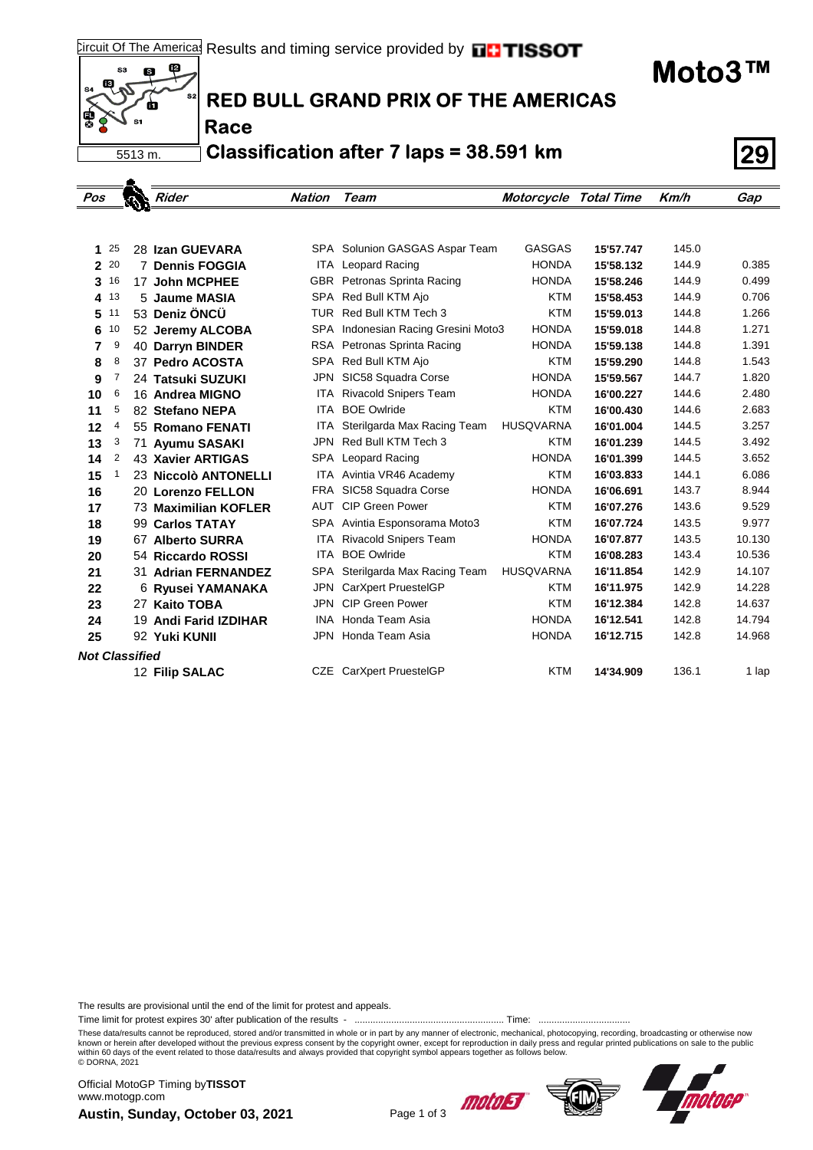**Moto3™**



## **RED BULL GRAND PRIX OF THE AMERICAS**

**Race**

**Classification after 7 laps = 38.591 km 29**

| Pos                   |    |  | Rider                                     | <b>Nation</b> | Team                                                        | <b>Motorcycle Total Time</b> |           | Km/h  | Gap    |
|-----------------------|----|--|-------------------------------------------|---------------|-------------------------------------------------------------|------------------------------|-----------|-------|--------|
|                       |    |  |                                           |               |                                                             |                              |           |       |        |
|                       | 25 |  |                                           |               |                                                             | <b>GASGAS</b>                | 15'57.747 | 145.0 |        |
| 1.<br>$\mathbf{2}$    | 20 |  | 28 Izan GUEVARA<br><b>7 Dennis FOGGIA</b> |               | SPA Solunion GASGAS Aspar Team<br><b>ITA</b> Leopard Racing | <b>HONDA</b>                 | 15'58.132 | 144.9 | 0.385  |
|                       | 16 |  | 17 John MCPHEE                            |               | GBR Petronas Sprinta Racing                                 | <b>HONDA</b>                 | 15'58.246 | 144.9 | 0.499  |
| 3<br>4                | 13 |  | 5 Jaume MASIA                             |               | SPA Red Bull KTM Ajo                                        | <b>KTM</b>                   | 15'58.453 | 144.9 | 0.706  |
| 5                     | 11 |  | 53 Deniz ÖNCÜ                             |               | TUR Red Bull KTM Tech 3                                     | <b>KTM</b>                   | 15'59.013 | 144.8 | 1.266  |
| 6                     | 10 |  | 52 Jeremy ALCOBA                          |               | SPA Indonesian Racing Gresini Moto3                         | <b>HONDA</b>                 | 15'59.018 | 144.8 | 1.271  |
| 7                     | 9  |  | 40 Darryn BINDER                          |               | RSA Petronas Sprinta Racing                                 | <b>HONDA</b>                 | 15'59.138 | 144.8 | 1.391  |
| 8                     | 8  |  | 37 Pedro ACOSTA                           |               | SPA Red Bull KTM Ajo                                        | <b>KTM</b>                   | 15'59.290 | 144.8 | 1.543  |
| 9                     | 7  |  | 24 Tatsuki SUZUKI                         | JPN           | SIC58 Squadra Corse                                         | <b>HONDA</b>                 | 15'59.567 | 144.7 | 1.820  |
| 10                    | 6  |  | 16 Andrea MIGNO                           | ITA           | <b>Rivacold Snipers Team</b>                                | <b>HONDA</b>                 | 16'00.227 | 144.6 | 2.480  |
| 11                    | 5  |  | 82 Stefano NEPA                           | ITA           | <b>BOE Owlride</b>                                          | <b>KTM</b>                   | 16'00.430 | 144.6 | 2.683  |
| 12                    | 4  |  | 55 Romano FENATI                          | ITA           | Sterilgarda Max Racing Team                                 | <b>HUSQVARNA</b>             | 16'01.004 | 144.5 | 3.257  |
| 13                    | 3  |  | 71 Ayumu SASAKI                           | JPN           | Red Bull KTM Tech 3                                         | <b>KTM</b>                   | 16'01.239 | 144.5 | 3.492  |
| 14                    | 2  |  | 43 Xavier ARTIGAS                         |               | SPA Leopard Racing                                          | <b>HONDA</b>                 | 16'01.399 | 144.5 | 3.652  |
| 15                    | 1  |  | 23 Niccolò ANTONELLI                      |               | ITA Avintia VR46 Academy                                    | <b>KTM</b>                   | 16'03.833 | 144.1 | 6.086  |
| 16                    |    |  | 20 Lorenzo FELLON                         | FRA           | SIC58 Squadra Corse                                         | <b>HONDA</b>                 | 16'06.691 | 143.7 | 8.944  |
| 17                    |    |  | 73 Maximilian KOFLER                      | AUT           | <b>CIP Green Power</b>                                      | <b>KTM</b>                   | 16'07.276 | 143.6 | 9.529  |
| 18                    |    |  | 99 Carlos TATAY                           |               | SPA Avintia Esponsorama Moto3                               | <b>KTM</b>                   | 16'07.724 | 143.5 | 9.977  |
| 19                    |    |  | 67 Alberto SURRA                          | ITA           | <b>Rivacold Snipers Team</b>                                | <b>HONDA</b>                 | 16'07.877 | 143.5 | 10.130 |
| 20                    |    |  | 54 Riccardo ROSSI                         | ITA           | <b>BOE Owlride</b>                                          | <b>KTM</b>                   | 16'08.283 | 143.4 | 10.536 |
| 21                    |    |  | 31 Adrian FERNANDEZ                       | <b>SPA</b>    | Sterilgarda Max Racing Team                                 | <b>HUSQVARNA</b>             | 16'11.854 | 142.9 | 14.107 |
| 22                    |    |  | 6 Ryusei YAMANAKA                         | JPN           | CarXpert PruestelGP                                         | <b>KTM</b>                   | 16'11.975 | 142.9 | 14.228 |
| 23                    |    |  | 27 Kaito TOBA                             | JPN           | <b>CIP Green Power</b>                                      | <b>KTM</b>                   | 16'12.384 | 142.8 | 14.637 |
| 24                    |    |  | 19 Andi Farid IZDIHAR                     | INA           | Honda Team Asia                                             | <b>HONDA</b>                 | 16'12.541 | 142.8 | 14.794 |
| 25                    |    |  | 92 Yuki KUNII                             | JPN           | Honda Team Asia                                             | <b>HONDA</b>                 | 16'12.715 | 142.8 | 14.968 |
| <b>Not Classified</b> |    |  |                                           |               |                                                             |                              |           |       |        |
|                       |    |  | 12 Filip SALAC                            |               | CZE CarXpert PruestelGP                                     | <b>KTM</b>                   | 14'34.909 | 136.1 | 1 lap  |
|                       |    |  |                                           |               |                                                             |                              |           |       |        |

The results are provisional until the end of the limit for protest and appeals.

Time limit for protest expires 30' after publication of the results - ......................................................... Time: ...................................

These data/results cannot be reproduced, stored and/or transmitted in whole or in part by any manner of electronic, mechanical, photocopying, recording, broadcasting or otherwise now<br>known or herein after developed without within 60 days of the event related to those data/results and always provided that copyright symbol appears together as follows below. © DORNA, 2021

**Austin, Sunday, October 03, 2021** Page 1 of 3 Official MotoGP Timing by **TISSOT**www.motogp.com



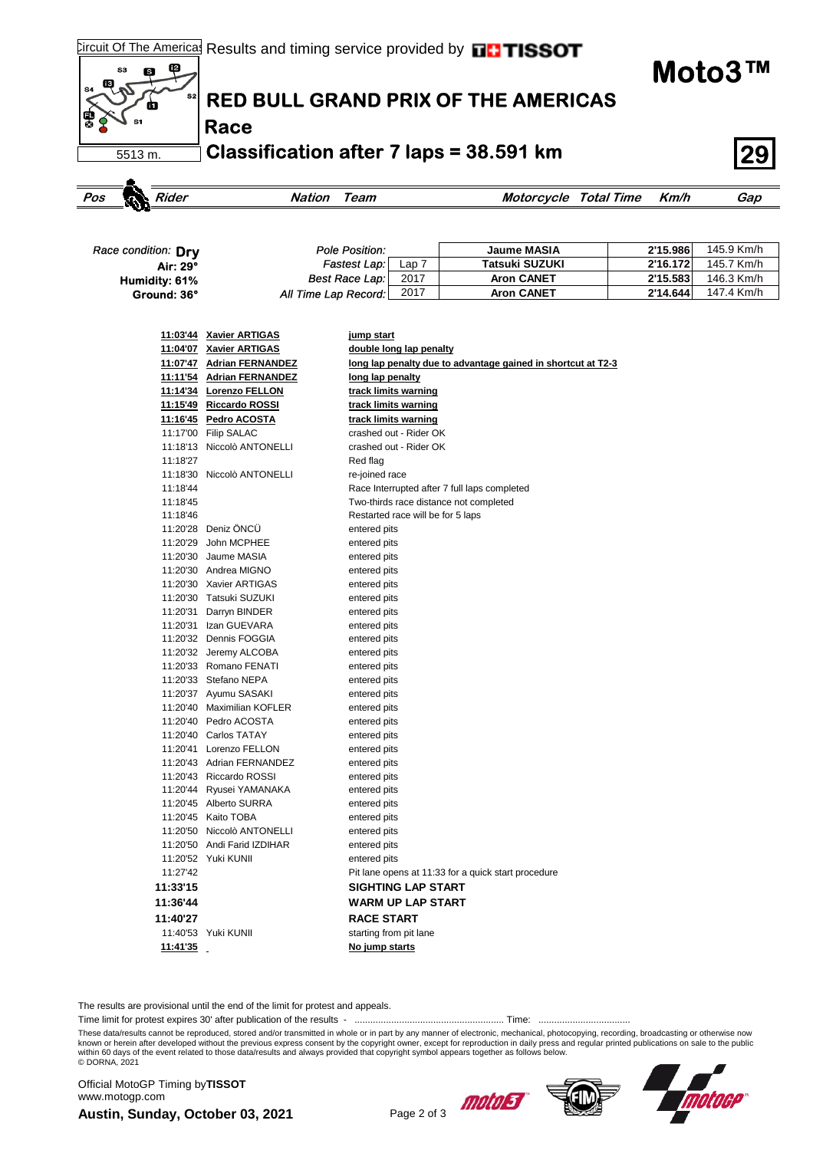f2

**Moto3™**



| Race condition: Drv | Pole Position:       |                              | Jaume MASIA       | 2'15.986 | 145.9 Km/h |
|---------------------|----------------------|------------------------------|-------------------|----------|------------|
| Air: 29°            | Fastest Lap:         | Lap $\overline{\phantom{a}}$ | Tatsuki SUZUKI    | 2'16.172 | 145.7 Km/h |
| Humidity: 61%       | Best Race Lap:       | 2017                         | <b>Aron CANET</b> | 2'15.583 | 146.3 Km/h |
| Ground: 36°         | All Time Lap Record: | 2017                         | <b>Aron CANET</b> | 2'14.644 | 147.4 Km/h |

|          | 11:03'44 Xavier ARTIGAS     | <u>jump start</u>                                            |
|----------|-----------------------------|--------------------------------------------------------------|
|          | 11:04'07 Xavier ARTIGAS     | double long lap penalty                                      |
|          | 11:07'47 Adrian FERNANDEZ   | long lap penalty due to advantage gained in shortcut at T2-3 |
|          | 11:11'54 Adrian FERNANDEZ   | long lap penalty                                             |
|          | 11:14'34 Lorenzo FELLON     | track limits warning                                         |
|          | 11:15'49 Riccardo ROSSI     | track limits warning                                         |
|          | 11:16'45 Pedro ACOSTA       | track limits warning                                         |
|          | 11:17'00 Filip SALAC        | crashed out - Rider OK                                       |
|          | 11:18'13 Niccolò ANTONELLI  | crashed out - Rider OK                                       |
| 11:18'27 |                             | Red flag                                                     |
|          | 11:18'30 Niccolò ANTONELLI  | re-joined race                                               |
| 11:18'44 |                             | Race Interrupted after 7 full laps completed                 |
| 11:18'45 |                             | Two-thirds race distance not completed                       |
| 11:18'46 |                             | Restarted race will be for 5 laps                            |
|          | 11:20'28 Deniz ÖNCÜ         | entered pits                                                 |
|          | 11:20'29 John MCPHEE        | entered pits                                                 |
|          | 11:20'30 Jaume MASIA        | entered pits                                                 |
|          | 11:20'30 Andrea MIGNO       | entered pits                                                 |
|          | 11:20'30 Xavier ARTIGAS     | entered pits                                                 |
|          | 11:20'30 Tatsuki SUZUKI     | entered pits                                                 |
|          | 11:20'31 Darryn BINDER      | entered pits                                                 |
|          | 11:20'31 Izan GUEVARA       | entered pits                                                 |
|          | 11:20'32 Dennis FOGGIA      | entered pits                                                 |
|          | 11:20'32 Jeremy ALCOBA      | entered pits                                                 |
|          | 11:20'33 Romano FENATI      | entered pits                                                 |
|          | 11:20'33 Stefano NEPA       | entered pits                                                 |
|          | 11:20'37 Ayumu SASAKI       | entered pits                                                 |
|          | 11:20'40 Maximilian KOFLER  | entered pits                                                 |
|          | 11:20'40 Pedro ACOSTA       | entered pits                                                 |
|          | 11:20'40 Carlos TATAY       | entered pits                                                 |
|          | 11:20'41 Lorenzo FELLON     | entered pits                                                 |
|          | 11:20'43 Adrian FERNANDEZ   | entered pits                                                 |
|          | 11:20'43 Riccardo ROSSI     | entered pits                                                 |
|          | 11:20'44 Ryusei YAMANAKA    | entered pits                                                 |
|          | 11:20'45 Alberto SURRA      | entered pits                                                 |
|          | 11:20'45 Kaito TOBA         | entered pits                                                 |
|          | 11:20'50 Niccolò ANTONELLI  | entered pits                                                 |
|          | 11:20'50 Andi Farid IZDIHAR | entered pits                                                 |
|          | 11:20'52 Yuki KUNII         | entered pits                                                 |
| 11:27'42 |                             | Pit lane opens at 11:33 for a quick start procedure          |
| 11:33'15 |                             | <b>SIGHTING LAP START</b>                                    |
| 11:36'44 |                             | <b>WARM UP LAP START</b>                                     |
| 11:40'27 |                             | <b>RACE START</b>                                            |
|          | 11:40'53 Yuki KUNII         | starting from pit lane                                       |
| 11:41'35 |                             | No jump starts                                               |
|          |                             |                                                              |

The results are provisional until the end of the limit for protest and appeals.

Time limit for protest expires 30' after publication of the results - ......................................................... Time: ...................................

These data/results cannot be reproduced, stored and/or transmitted in whole or in part by any manner of electronic, mechanical, photocopying, recording, broadcasting or otherwise now<br>known or herein after developed without within 60 days of the event related to those data/results and always provided that copyright symbol appears together as follows below. © DORNA, 2021

**Austin, Sunday, October 03, 2021** Page 2 of 3 Official MotoGP Timing by **TISSOT**www.motogp.com